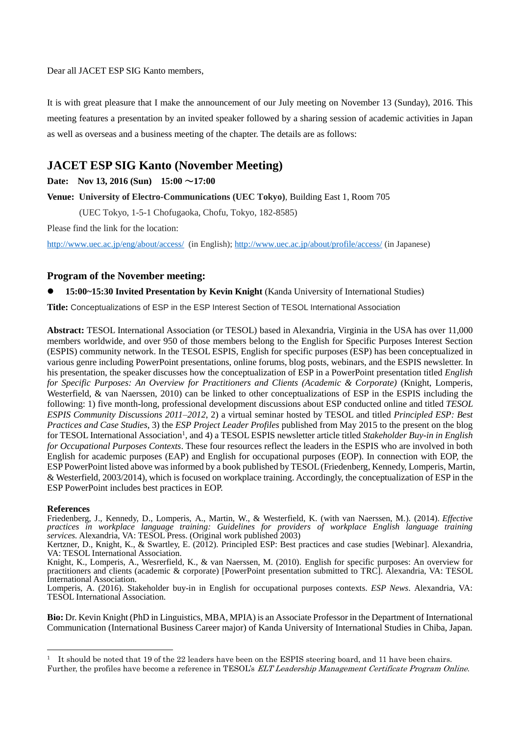Dear all JACET ESP SIG Kanto members,

It is with great pleasure that I make the announcement of our July meeting on November 13 (Sunday), 2016. This meeting features a presentation by an invited speaker followed by a sharing session of academic activities in Japan as well as overseas and a business meeting of the chapter. The details are as follows:

# **JACET ESP SIG Kanto (November Meeting)**

**Date: Nov 13, 2016 (Sun) 15:00** ~**17:00**

**Venue: University of Electro-Communications (UEC Tokyo)**, Building East 1, Room 705

(UEC Tokyo, 1-5-1 Chofugaoka, Chofu, Tokyo, 182-8585)

Please find the link for the location:

<http://www.uec.ac.jp/eng/about/access/> (in English)[; http://www.uec.ac.jp/about/profile/access/](http://www.uec.ac.jp/about/profile/access/) (in Japanese)

# **Program of the November meeting:**

### **15:00~15:30 Invited Presentation by Kevin Knight** (Kanda University of International Studies)

**Title:** Conceptualizations of ESP in the ESP Interest Section of TESOL International Association

**Abstract:** TESOL International Association (or TESOL) based in Alexandria, Virginia in the USA has over 11,000 members worldwide, and over 950 of those members belong to the English for Specific Purposes Interest Section (ESPIS) community network. In the TESOL ESPIS, English for specific purposes (ESP) has been conceptualized in various genre including PowerPoint presentations, online forums, blog posts, webinars, and the ESPIS newsletter. In his presentation, the speaker discusses how the conceptualization of ESP in a PowerPoint presentation titled *English for Specific Purposes: An Overview for Practitioners and Clients (Academic & Corporate)* (Knight, Lomperis, Westerfield, & van Naerssen, 2010) can be linked to other conceptualizations of ESP in the ESPIS including the following: 1) five month-long, professional development discussions about ESP conducted online and titled *TESOL ESPIS Community Discussions 2011–2012*, 2) a virtual seminar hosted by TESOL and titled *Principled ESP: Best Practices and Case Studies*, 3) the *ESP Project Leader Profiles* published from May 2015 to the present on the blog for TESOL International Association<sup>1</sup>, and 4) a TESOL ESPIS newsletter article titled Stakeholder Buy-in in English *for Occupational Purposes Contexts*. These four resources reflect the leaders in the ESPIS who are involved in both English for academic purposes (EAP) and English for occupational purposes (EOP). In connection with EOP, the ESP PowerPoint listed above was informed by a book published by TESOL (Friedenberg, Kennedy, Lomperis, Martin, & Westerfield, 2003/2014), which is focused on workplace training. Accordingly, the conceptualization of ESP in the ESP PowerPoint includes best practices in EOP.

#### **References**

-

Friedenberg, J., Kennedy, D., Lomperis, A., Martin, W., & Westerfield, K. (with van Naerssen, M.). (2014). *Effective practices in workplace language training: Guidelines for providers of workplace English language training services.* Alexandria, VA: TESOL Press. (Original work published 2003)

Kertzner, D., Knight, K., & Swartley, E. (2012). Principled ESP: Best practices and case studies [Webinar]. Alexandria, VA: TESOL International Association.

Knight, K., Lomperis, A., Wesrerfield, K., & van Naerssen, M. (2010). English for specific purposes: An overview for practitioners and clients (academic & corporate) [PowerPoint presentation submitted to TRC]. Alexandria, VA: TESOL International Association.

Lomperis, A. (2016). Stakeholder buy-in in English for occupational purposes contexts. *ESP News*. Alexandria, VA: TESOL International Association.

**Bio:** Dr. Kevin Knight (PhD in Linguistics, MBA, MPIA) is an Associate Professor in the Department of International Communication (International Business Career major) of Kanda University of International Studies in Chiba, Japan.

<sup>1</sup> It should be noted that 19 of the 22 leaders have been on the ESPIS steering board, and 11 have been chairs. Further, the profiles have become a reference in TESOL's ELT Leadership Management Certificate Program Online.